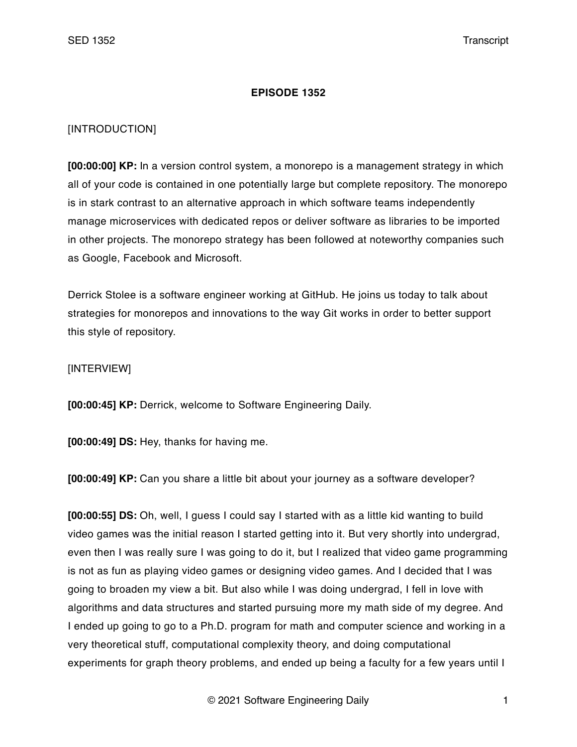## **EPISODE 1352**

## [INTRODUCTION]

**[00:00:00] KP:** In a version control system, a monorepo is a management strategy in which all of your code is contained in one potentially large but complete repository. The monorepo is in stark contrast to an alternative approach in which software teams independently manage microservices with dedicated repos or deliver software as libraries to be imported in other projects. The monorepo strategy has been followed at noteworthy companies such as Google, Facebook and Microsoft.

Derrick Stolee is a software engineer working at GitHub. He joins us today to talk about strategies for monorepos and innovations to the way Git works in order to better support this style of repository.

## [INTERVIEW]

**[00:00:45] KP:** Derrick, welcome to Software Engineering Daily.

**[00:00:49] DS:** Hey, thanks for having me.

**[00:00:49] KP:** Can you share a little bit about your journey as a software developer?

**[00:00:55] DS:** Oh, well, I guess I could say I started with as a little kid wanting to build video games was the initial reason I started getting into it. But very shortly into undergrad, even then I was really sure I was going to do it, but I realized that video game programming is not as fun as playing video games or designing video games. And I decided that I was going to broaden my view a bit. But also while I was doing undergrad, I fell in love with algorithms and data structures and started pursuing more my math side of my degree. And I ended up going to go to a Ph.D. program for math and computer science and working in a very theoretical stuff, computational complexity theory, and doing computational experiments for graph theory problems, and ended up being a faculty for a few years until I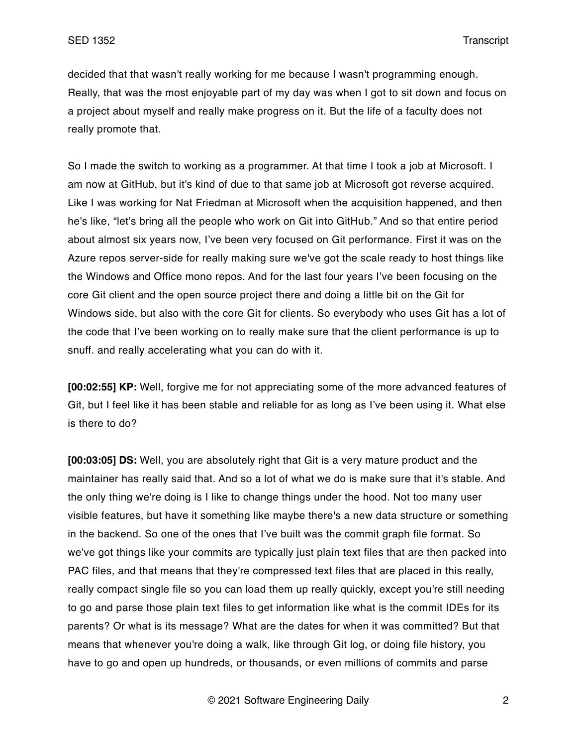decided that that wasn't really working for me because I wasn't programming enough. Really, that was the most enjoyable part of my day was when I got to sit down and focus on a project about myself and really make progress on it. But the life of a faculty does not really promote that.

So I made the switch to working as a programmer. At that time I took a job at Microsoft. I am now at GitHub, but it's kind of due to that same job at Microsoft got reverse acquired. Like I was working for Nat Friedman at Microsoft when the acquisition happened, and then he's like, "let's bring all the people who work on Git into GitHub." And so that entire period about almost six years now, I've been very focused on Git performance. First it was on the Azure repos server-side for really making sure we've got the scale ready to host things like the Windows and Office mono repos. And for the last four years I've been focusing on the core Git client and the open source project there and doing a little bit on the Git for Windows side, but also with the core Git for clients. So everybody who uses Git has a lot of the code that I've been working on to really make sure that the client performance is up to snuff. and really accelerating what you can do with it.

**[00:02:55] KP:** Well, forgive me for not appreciating some of the more advanced features of Git, but I feel like it has been stable and reliable for as long as I've been using it. What else is there to do?

**[00:03:05] DS:** Well, you are absolutely right that Git is a very mature product and the maintainer has really said that. And so a lot of what we do is make sure that it's stable. And the only thing we're doing is I like to change things under the hood. Not too many user visible features, but have it something like maybe there's a new data structure or something in the backend. So one of the ones that I've built was the commit graph file format. So we've got things like your commits are typically just plain text files that are then packed into PAC files, and that means that they're compressed text files that are placed in this really, really compact single file so you can load them up really quickly, except you're still needing to go and parse those plain text files to get information like what is the commit IDEs for its parents? Or what is its message? What are the dates for when it was committed? But that means that whenever you're doing a walk, like through Git log, or doing file history, you have to go and open up hundreds, or thousands, or even millions of commits and parse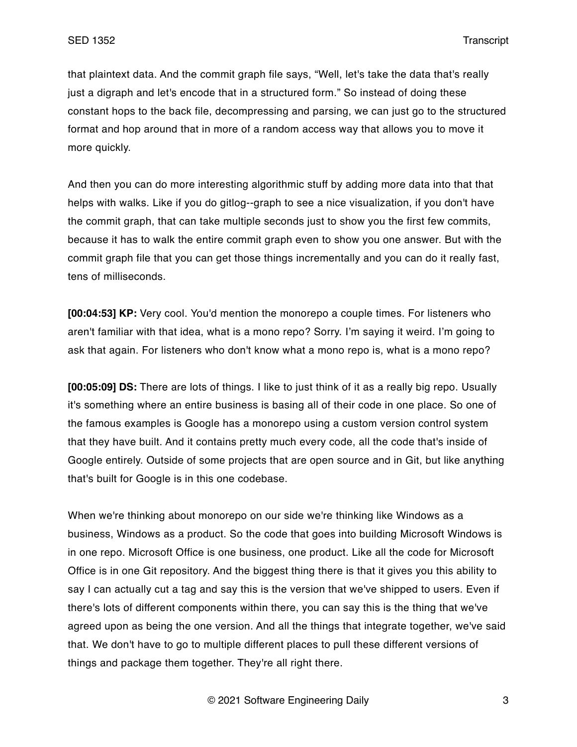that plaintext data. And the commit graph file says, "Well, let's take the data that's really just a digraph and let's encode that in a structured form." So instead of doing these constant hops to the back file, decompressing and parsing, we can just go to the structured format and hop around that in more of a random access way that allows you to move it more quickly.

And then you can do more interesting algorithmic stuff by adding more data into that that helps with walks. Like if you do gitlog--graph to see a nice visualization, if you don't have the commit graph, that can take multiple seconds just to show you the first few commits, because it has to walk the entire commit graph even to show you one answer. But with the commit graph file that you can get those things incrementally and you can do it really fast, tens of milliseconds.

**[00:04:53] KP:** Very cool. You'd mention the monorepo a couple times. For listeners who aren't familiar with that idea, what is a mono repo? Sorry. I'm saying it weird. I'm going to ask that again. For listeners who don't know what a mono repo is, what is a mono repo?

**[00:05:09] DS:** There are lots of things. I like to just think of it as a really big repo. Usually it's something where an entire business is basing all of their code in one place. So one of the famous examples is Google has a monorepo using a custom version control system that they have built. And it contains pretty much every code, all the code that's inside of Google entirely. Outside of some projects that are open source and in Git, but like anything that's built for Google is in this one codebase.

When we're thinking about monorepo on our side we're thinking like Windows as a business, Windows as a product. So the code that goes into building Microsoft Windows is in one repo. Microsoft Office is one business, one product. Like all the code for Microsoft Office is in one Git repository. And the biggest thing there is that it gives you this ability to say I can actually cut a tag and say this is the version that we've shipped to users. Even if there's lots of different components within there, you can say this is the thing that we've agreed upon as being the one version. And all the things that integrate together, we've said that. We don't have to go to multiple different places to pull these different versions of things and package them together. They're all right there.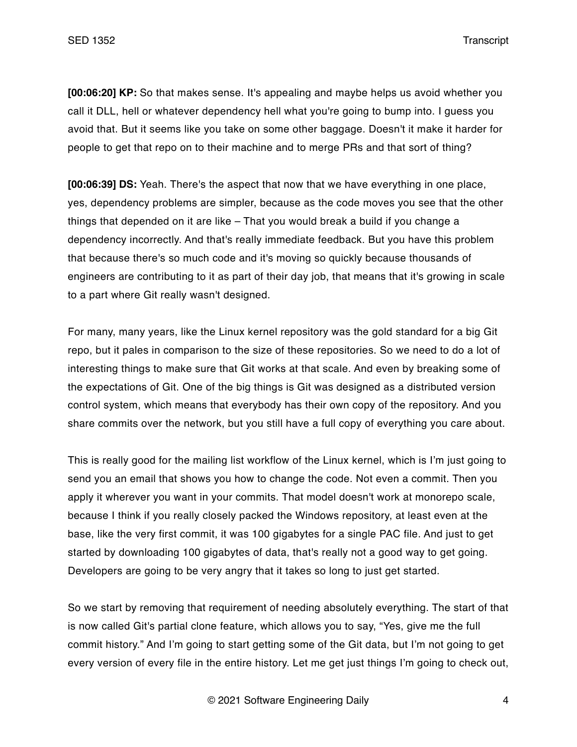**[00:06:20] KP:** So that makes sense. It's appealing and maybe helps us avoid whether you call it DLL, hell or whatever dependency hell what you're going to bump into. I guess you avoid that. But it seems like you take on some other baggage. Doesn't it make it harder for people to get that repo on to their machine and to merge PRs and that sort of thing?

**[00:06:39] DS:** Yeah. There's the aspect that now that we have everything in one place, yes, dependency problems are simpler, because as the code moves you see that the other things that depended on it are like – That you would break a build if you change a dependency incorrectly. And that's really immediate feedback. But you have this problem that because there's so much code and it's moving so quickly because thousands of engineers are contributing to it as part of their day job, that means that it's growing in scale to a part where Git really wasn't designed.

For many, many years, like the Linux kernel repository was the gold standard for a big Git repo, but it pales in comparison to the size of these repositories. So we need to do a lot of interesting things to make sure that Git works at that scale. And even by breaking some of the expectations of Git. One of the big things is Git was designed as a distributed version control system, which means that everybody has their own copy of the repository. And you share commits over the network, but you still have a full copy of everything you care about.

This is really good for the mailing list workflow of the Linux kernel, which is I'm just going to send you an email that shows you how to change the code. Not even a commit. Then you apply it wherever you want in your commits. That model doesn't work at monorepo scale, because I think if you really closely packed the Windows repository, at least even at the base, like the very first commit, it was 100 gigabytes for a single PAC file. And just to get started by downloading 100 gigabytes of data, that's really not a good way to get going. Developers are going to be very angry that it takes so long to just get started.

So we start by removing that requirement of needing absolutely everything. The start of that is now called Git's partial clone feature, which allows you to say, "Yes, give me the full commit history." And I'm going to start getting some of the Git data, but I'm not going to get every version of every file in the entire history. Let me get just things I'm going to check out,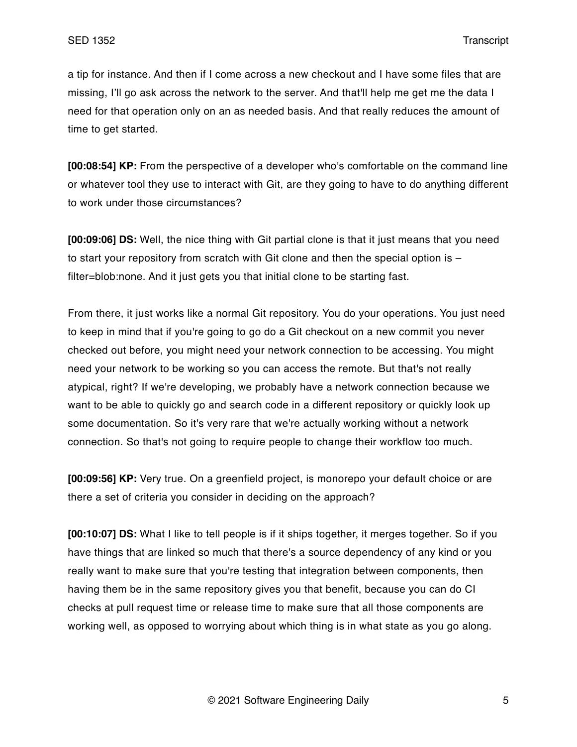a tip for instance. And then if I come across a new checkout and I have some files that are missing, I'll go ask across the network to the server. And that'll help me get me the data I need for that operation only on an as needed basis. And that really reduces the amount of time to get started.

**[00:08:54] KP:** From the perspective of a developer who's comfortable on the command line or whatever tool they use to interact with Git, are they going to have to do anything different to work under those circumstances?

**[00:09:06] DS:** Well, the nice thing with Git partial clone is that it just means that you need to start your repository from scratch with Git clone and then the special option is – filter=blob:none. And it just gets you that initial clone to be starting fast.

From there, it just works like a normal Git repository. You do your operations. You just need to keep in mind that if you're going to go do a Git checkout on a new commit you never checked out before, you might need your network connection to be accessing. You might need your network to be working so you can access the remote. But that's not really atypical, right? If we're developing, we probably have a network connection because we want to be able to quickly go and search code in a different repository or quickly look up some documentation. So it's very rare that we're actually working without a network connection. So that's not going to require people to change their workflow too much.

**[00:09:56] KP:** Very true. On a greenfield project, is monorepo your default choice or are there a set of criteria you consider in deciding on the approach?

**[00:10:07] DS:** What I like to tell people is if it ships together, it merges together. So if you have things that are linked so much that there's a source dependency of any kind or you really want to make sure that you're testing that integration between components, then having them be in the same repository gives you that benefit, because you can do CI checks at pull request time or release time to make sure that all those components are working well, as opposed to worrying about which thing is in what state as you go along.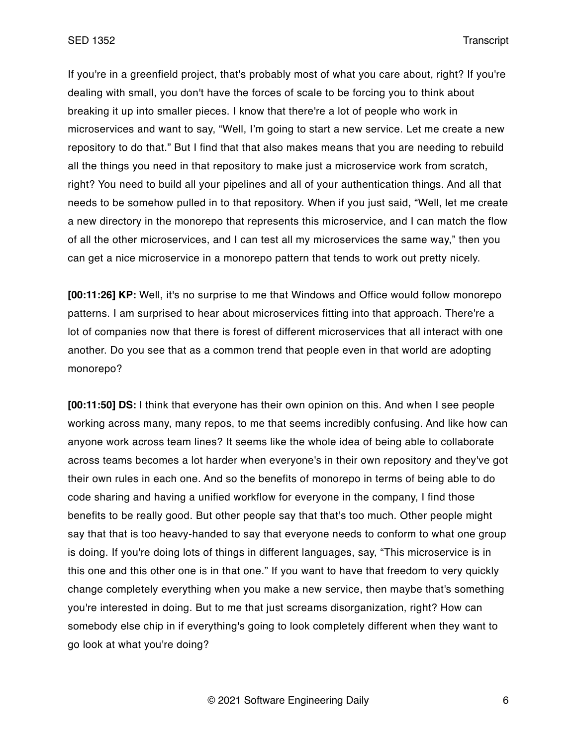If you're in a greenfield project, that's probably most of what you care about, right? If you're dealing with small, you don't have the forces of scale to be forcing you to think about breaking it up into smaller pieces. I know that there're a lot of people who work in microservices and want to say, "Well, I'm going to start a new service. Let me create a new repository to do that." But I find that that also makes means that you are needing to rebuild all the things you need in that repository to make just a microservice work from scratch, right? You need to build all your pipelines and all of your authentication things. And all that needs to be somehow pulled in to that repository. When if you just said, "Well, let me create a new directory in the monorepo that represents this microservice, and I can match the flow of all the other microservices, and I can test all my microservices the same way," then you can get a nice microservice in a monorepo pattern that tends to work out pretty nicely.

**[00:11:26] KP:** Well, it's no surprise to me that Windows and Office would follow monorepo patterns. I am surprised to hear about microservices fitting into that approach. There're a lot of companies now that there is forest of different microservices that all interact with one another. Do you see that as a common trend that people even in that world are adopting monorepo?

**[00:11:50] DS:** I think that everyone has their own opinion on this. And when I see people working across many, many repos, to me that seems incredibly confusing. And like how can anyone work across team lines? It seems like the whole idea of being able to collaborate across teams becomes a lot harder when everyone's in their own repository and they've got their own rules in each one. And so the benefits of monorepo in terms of being able to do code sharing and having a unified workflow for everyone in the company, I find those benefits to be really good. But other people say that that's too much. Other people might say that that is too heavy-handed to say that everyone needs to conform to what one group is doing. If you're doing lots of things in different languages, say, "This microservice is in this one and this other one is in that one." If you want to have that freedom to very quickly change completely everything when you make a new service, then maybe that's something you're interested in doing. But to me that just screams disorganization, right? How can somebody else chip in if everything's going to look completely different when they want to go look at what you're doing?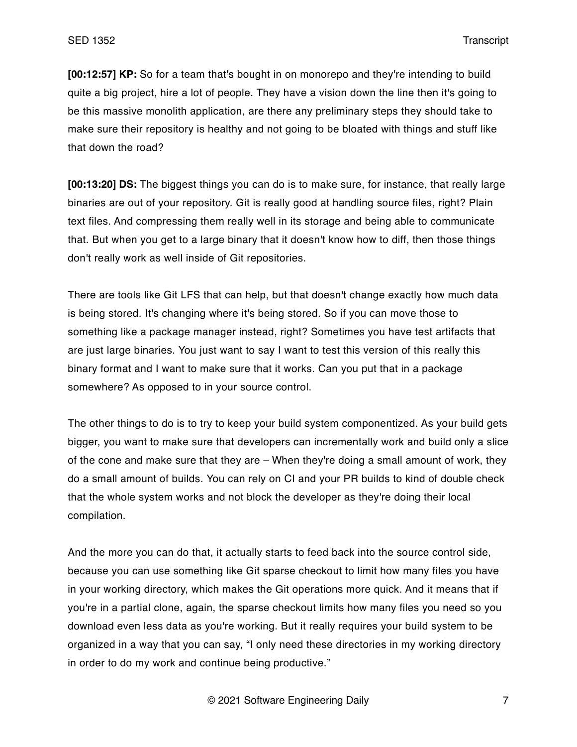**[00:12:57] KP:** So for a team that's bought in on monorepo and they're intending to build quite a big project, hire a lot of people. They have a vision down the line then it's going to be this massive monolith application, are there any preliminary steps they should take to make sure their repository is healthy and not going to be bloated with things and stuff like that down the road?

**[00:13:20] DS:** The biggest things you can do is to make sure, for instance, that really large binaries are out of your repository. Git is really good at handling source files, right? Plain text files. And compressing them really well in its storage and being able to communicate that. But when you get to a large binary that it doesn't know how to diff, then those things don't really work as well inside of Git repositories.

There are tools like Git LFS that can help, but that doesn't change exactly how much data is being stored. It's changing where it's being stored. So if you can move those to something like a package manager instead, right? Sometimes you have test artifacts that are just large binaries. You just want to say I want to test this version of this really this binary format and I want to make sure that it works. Can you put that in a package somewhere? As opposed to in your source control.

The other things to do is to try to keep your build system componentized. As your build gets bigger, you want to make sure that developers can incrementally work and build only a slice of the cone and make sure that they are – When they're doing a small amount of work, they do a small amount of builds. You can rely on CI and your PR builds to kind of double check that the whole system works and not block the developer as they're doing their local compilation.

And the more you can do that, it actually starts to feed back into the source control side, because you can use something like Git sparse checkout to limit how many files you have in your working directory, which makes the Git operations more quick. And it means that if you're in a partial clone, again, the sparse checkout limits how many files you need so you download even less data as you're working. But it really requires your build system to be organized in a way that you can say, "I only need these directories in my working directory in order to do my work and continue being productive."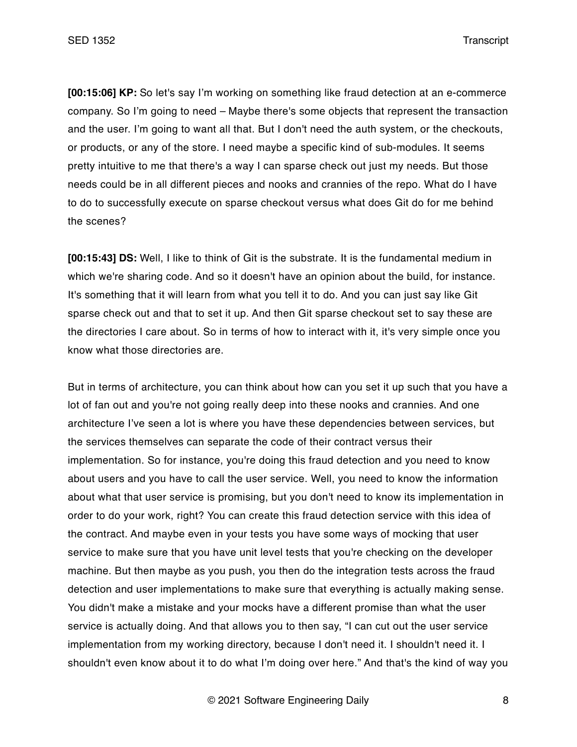**[00:15:06] KP:** So let's say I'm working on something like fraud detection at an e-commerce company. So I'm going to need – Maybe there's some objects that represent the transaction and the user. I'm going to want all that. But I don't need the auth system, or the checkouts, or products, or any of the store. I need maybe a specific kind of sub-modules. It seems pretty intuitive to me that there's a way I can sparse check out just my needs. But those needs could be in all different pieces and nooks and crannies of the repo. What do I have to do to successfully execute on sparse checkout versus what does Git do for me behind the scenes?

**[00:15:43] DS:** Well, I like to think of Git is the substrate. It is the fundamental medium in which we're sharing code. And so it doesn't have an opinion about the build, for instance. It's something that it will learn from what you tell it to do. And you can just say like Git sparse check out and that to set it up. And then Git sparse checkout set to say these are the directories I care about. So in terms of how to interact with it, it's very simple once you know what those directories are.

But in terms of architecture, you can think about how can you set it up such that you have a lot of fan out and you're not going really deep into these nooks and crannies. And one architecture I've seen a lot is where you have these dependencies between services, but the services themselves can separate the code of their contract versus their implementation. So for instance, you're doing this fraud detection and you need to know about users and you have to call the user service. Well, you need to know the information about what that user service is promising, but you don't need to know its implementation in order to do your work, right? You can create this fraud detection service with this idea of the contract. And maybe even in your tests you have some ways of mocking that user service to make sure that you have unit level tests that you're checking on the developer machine. But then maybe as you push, you then do the integration tests across the fraud detection and user implementations to make sure that everything is actually making sense. You didn't make a mistake and your mocks have a different promise than what the user service is actually doing. And that allows you to then say, "I can cut out the user service implementation from my working directory, because I don't need it. I shouldn't need it. I shouldn't even know about it to do what I'm doing over here." And that's the kind of way you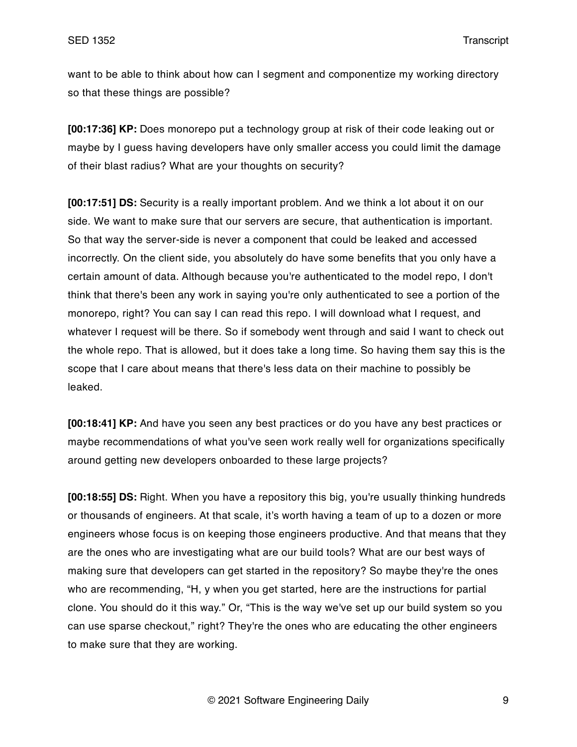want to be able to think about how can I segment and componentize my working directory so that these things are possible?

**[00:17:36] KP:** Does monorepo put a technology group at risk of their code leaking out or maybe by I guess having developers have only smaller access you could limit the damage of their blast radius? What are your thoughts on security?

**[00:17:51] DS:** Security is a really important problem. And we think a lot about it on our side. We want to make sure that our servers are secure, that authentication is important. So that way the server-side is never a component that could be leaked and accessed incorrectly. On the client side, you absolutely do have some benefits that you only have a certain amount of data. Although because you're authenticated to the model repo, I don't think that there's been any work in saying you're only authenticated to see a portion of the monorepo, right? You can say I can read this repo. I will download what I request, and whatever I request will be there. So if somebody went through and said I want to check out the whole repo. That is allowed, but it does take a long time. So having them say this is the scope that I care about means that there's less data on their machine to possibly be leaked.

**[00:18:41] KP:** And have you seen any best practices or do you have any best practices or maybe recommendations of what you've seen work really well for organizations specifically around getting new developers onboarded to these large projects?

**[00:18:55] DS:** Right. When you have a repository this big, you're usually thinking hundreds or thousands of engineers. At that scale, it's worth having a team of up to a dozen or more engineers whose focus is on keeping those engineers productive. And that means that they are the ones who are investigating what are our build tools? What are our best ways of making sure that developers can get started in the repository? So maybe they're the ones who are recommending, "H, y when you get started, here are the instructions for partial clone. You should do it this way." Or, "This is the way we've set up our build system so you can use sparse checkout," right? They're the ones who are educating the other engineers to make sure that they are working.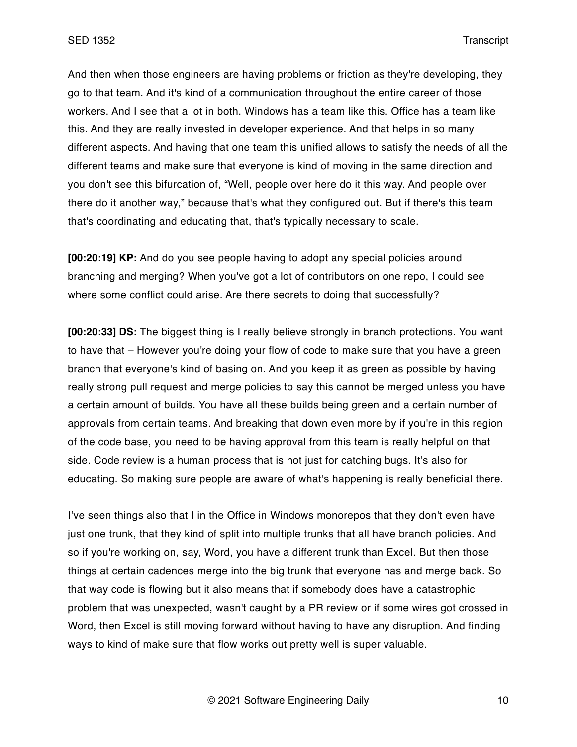And then when those engineers are having problems or friction as they're developing, they go to that team. And it's kind of a communication throughout the entire career of those workers. And I see that a lot in both. Windows has a team like this. Office has a team like this. And they are really invested in developer experience. And that helps in so many different aspects. And having that one team this unified allows to satisfy the needs of all the different teams and make sure that everyone is kind of moving in the same direction and you don't see this bifurcation of, "Well, people over here do it this way. And people over there do it another way," because that's what they configured out. But if there's this team that's coordinating and educating that, that's typically necessary to scale.

**[00:20:19] KP:** And do you see people having to adopt any special policies around branching and merging? When you've got a lot of contributors on one repo, I could see where some conflict could arise. Are there secrets to doing that successfully?

**[00:20:33] DS:** The biggest thing is I really believe strongly in branch protections. You want to have that – However you're doing your flow of code to make sure that you have a green branch that everyone's kind of basing on. And you keep it as green as possible by having really strong pull request and merge policies to say this cannot be merged unless you have a certain amount of builds. You have all these builds being green and a certain number of approvals from certain teams. And breaking that down even more by if you're in this region of the code base, you need to be having approval from this team is really helpful on that side. Code review is a human process that is not just for catching bugs. It's also for educating. So making sure people are aware of what's happening is really beneficial there.

I've seen things also that I in the Office in Windows monorepos that they don't even have just one trunk, that they kind of split into multiple trunks that all have branch policies. And so if you're working on, say, Word, you have a different trunk than Excel. But then those things at certain cadences merge into the big trunk that everyone has and merge back. So that way code is flowing but it also means that if somebody does have a catastrophic problem that was unexpected, wasn't caught by a PR review or if some wires got crossed in Word, then Excel is still moving forward without having to have any disruption. And finding ways to kind of make sure that flow works out pretty well is super valuable.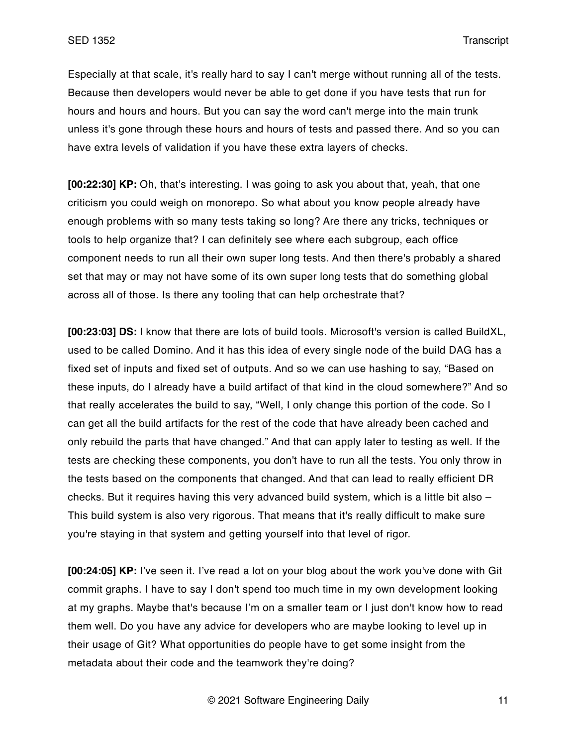Especially at that scale, it's really hard to say I can't merge without running all of the tests. Because then developers would never be able to get done if you have tests that run for hours and hours and hours. But you can say the word can't merge into the main trunk unless it's gone through these hours and hours of tests and passed there. And so you can have extra levels of validation if you have these extra layers of checks.

**[00:22:30] KP:** Oh, that's interesting. I was going to ask you about that, yeah, that one criticism you could weigh on monorepo. So what about you know people already have enough problems with so many tests taking so long? Are there any tricks, techniques or tools to help organize that? I can definitely see where each subgroup, each office component needs to run all their own super long tests. And then there's probably a shared set that may or may not have some of its own super long tests that do something global across all of those. Is there any tooling that can help orchestrate that?

**[00:23:03] DS:** I know that there are lots of build tools. Microsoft's version is called BuildXL, used to be called Domino. And it has this idea of every single node of the build DAG has a fixed set of inputs and fixed set of outputs. And so we can use hashing to say, "Based on these inputs, do I already have a build artifact of that kind in the cloud somewhere?" And so that really accelerates the build to say, "Well, I only change this portion of the code. So I can get all the build artifacts for the rest of the code that have already been cached and only rebuild the parts that have changed." And that can apply later to testing as well. If the tests are checking these components, you don't have to run all the tests. You only throw in the tests based on the components that changed. And that can lead to really efficient DR checks. But it requires having this very advanced build system, which is a little bit also – This build system is also very rigorous. That means that it's really difficult to make sure you're staying in that system and getting yourself into that level of rigor.

**[00:24:05] KP:** I've seen it. I've read a lot on your blog about the work you've done with Git commit graphs. I have to say I don't spend too much time in my own development looking at my graphs. Maybe that's because I'm on a smaller team or I just don't know how to read them well. Do you have any advice for developers who are maybe looking to level up in their usage of Git? What opportunities do people have to get some insight from the metadata about their code and the teamwork they're doing?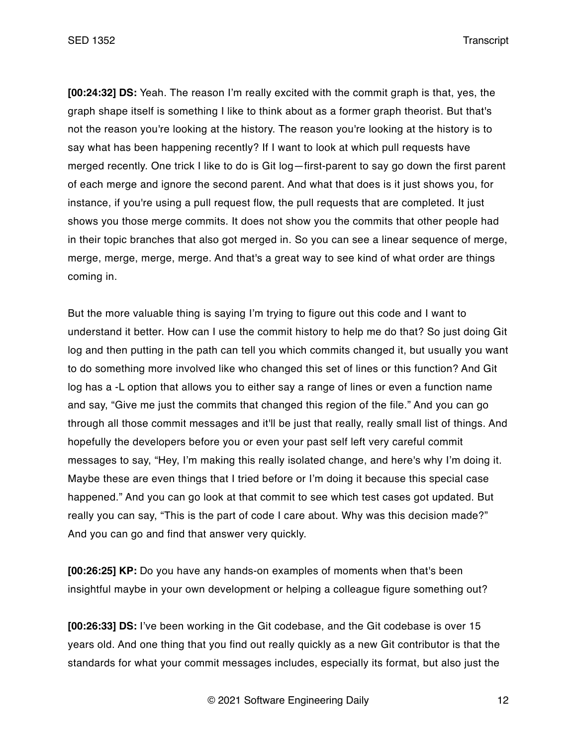**[00:24:32] DS:** Yeah. The reason I'm really excited with the commit graph is that, yes, the graph shape itself is something I like to think about as a former graph theorist. But that's not the reason you're looking at the history. The reason you're looking at the history is to say what has been happening recently? If I want to look at which pull requests have merged recently. One trick I like to do is Git log—first-parent to say go down the first parent of each merge and ignore the second parent. And what that does is it just shows you, for instance, if you're using a pull request flow, the pull requests that are completed. It just shows you those merge commits. It does not show you the commits that other people had in their topic branches that also got merged in. So you can see a linear sequence of merge, merge, merge, merge, merge. And that's a great way to see kind of what order are things coming in.

But the more valuable thing is saying I'm trying to figure out this code and I want to understand it better. How can I use the commit history to help me do that? So just doing Git log and then putting in the path can tell you which commits changed it, but usually you want to do something more involved like who changed this set of lines or this function? And Git log has a -L option that allows you to either say a range of lines or even a function name and say, "Give me just the commits that changed this region of the file." And you can go through all those commit messages and it'll be just that really, really small list of things. And hopefully the developers before you or even your past self left very careful commit messages to say, "Hey, I'm making this really isolated change, and here's why I'm doing it. Maybe these are even things that I tried before or I'm doing it because this special case happened." And you can go look at that commit to see which test cases got updated. But really you can say, "This is the part of code I care about. Why was this decision made?" And you can go and find that answer very quickly.

**[00:26:25] KP:** Do you have any hands-on examples of moments when that's been insightful maybe in your own development or helping a colleague figure something out?

**[00:26:33] DS:** I've been working in the Git codebase, and the Git codebase is over 15 years old. And one thing that you find out really quickly as a new Git contributor is that the standards for what your commit messages includes, especially its format, but also just the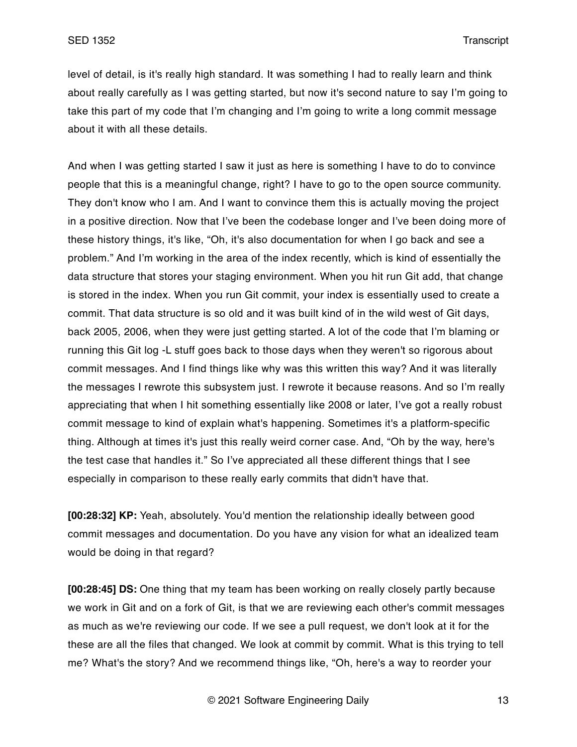level of detail, is it's really high standard. It was something I had to really learn and think about really carefully as I was getting started, but now it's second nature to say I'm going to take this part of my code that I'm changing and I'm going to write a long commit message about it with all these details.

And when I was getting started I saw it just as here is something I have to do to convince people that this is a meaningful change, right? I have to go to the open source community. They don't know who I am. And I want to convince them this is actually moving the project in a positive direction. Now that I've been the codebase longer and I've been doing more of these history things, it's like, "Oh, it's also documentation for when I go back and see a problem." And I'm working in the area of the index recently, which is kind of essentially the data structure that stores your staging environment. When you hit run Git add, that change is stored in the index. When you run Git commit, your index is essentially used to create a commit. That data structure is so old and it was built kind of in the wild west of Git days, back 2005, 2006, when they were just getting started. A lot of the code that I'm blaming or running this Git log -L stuff goes back to those days when they weren't so rigorous about commit messages. And I find things like why was this written this way? And it was literally the messages I rewrote this subsystem just. I rewrote it because reasons. And so I'm really appreciating that when I hit something essentially like 2008 or later, I've got a really robust commit message to kind of explain what's happening. Sometimes it's a platform-specific thing. Although at times it's just this really weird corner case. And, "Oh by the way, here's the test case that handles it." So I've appreciated all these different things that I see especially in comparison to these really early commits that didn't have that.

**[00:28:32] KP:** Yeah, absolutely. You'd mention the relationship ideally between good commit messages and documentation. Do you have any vision for what an idealized team would be doing in that regard?

**[00:28:45] DS:** One thing that my team has been working on really closely partly because we work in Git and on a fork of Git, is that we are reviewing each other's commit messages as much as we're reviewing our code. If we see a pull request, we don't look at it for the these are all the files that changed. We look at commit by commit. What is this trying to tell me? What's the story? And we recommend things like, "Oh, here's a way to reorder your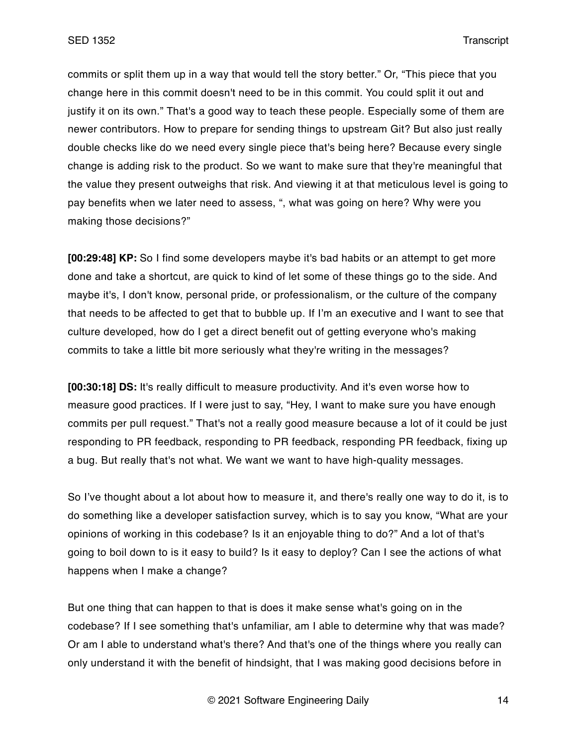commits or split them up in a way that would tell the story better." Or, "This piece that you change here in this commit doesn't need to be in this commit. You could split it out and justify it on its own." That's a good way to teach these people. Especially some of them are newer contributors. How to prepare for sending things to upstream Git? But also just really double checks like do we need every single piece that's being here? Because every single change is adding risk to the product. So we want to make sure that they're meaningful that the value they present outweighs that risk. And viewing it at that meticulous level is going to pay benefits when we later need to assess, ", what was going on here? Why were you making those decisions?"

**[00:29:48] KP:** So I find some developers maybe it's bad habits or an attempt to get more done and take a shortcut, are quick to kind of let some of these things go to the side. And maybe it's, I don't know, personal pride, or professionalism, or the culture of the company that needs to be affected to get that to bubble up. If I'm an executive and I want to see that culture developed, how do I get a direct benefit out of getting everyone who's making commits to take a little bit more seriously what they're writing in the messages?

**[00:30:18] DS:** It's really difficult to measure productivity. And it's even worse how to measure good practices. If I were just to say, "Hey, I want to make sure you have enough commits per pull request." That's not a really good measure because a lot of it could be just responding to PR feedback, responding to PR feedback, responding PR feedback, fixing up a bug. But really that's not what. We want we want to have high-quality messages.

So I've thought about a lot about how to measure it, and there's really one way to do it, is to do something like a developer satisfaction survey, which is to say you know, "What are your opinions of working in this codebase? Is it an enjoyable thing to do?" And a lot of that's going to boil down to is it easy to build? Is it easy to deploy? Can I see the actions of what happens when I make a change?

But one thing that can happen to that is does it make sense what's going on in the codebase? If I see something that's unfamiliar, am I able to determine why that was made? Or am I able to understand what's there? And that's one of the things where you really can only understand it with the benefit of hindsight, that I was making good decisions before in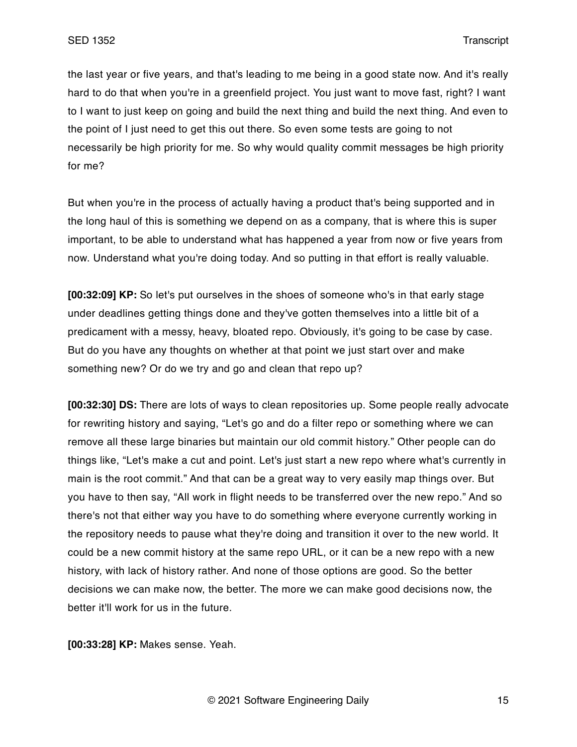the last year or five years, and that's leading to me being in a good state now. And it's really hard to do that when you're in a greenfield project. You just want to move fast, right? I want to I want to just keep on going and build the next thing and build the next thing. And even to the point of I just need to get this out there. So even some tests are going to not necessarily be high priority for me. So why would quality commit messages be high priority for me?

But when you're in the process of actually having a product that's being supported and in the long haul of this is something we depend on as a company, that is where this is super important, to be able to understand what has happened a year from now or five years from now. Understand what you're doing today. And so putting in that effort is really valuable.

**[00:32:09] KP:** So let's put ourselves in the shoes of someone who's in that early stage under deadlines getting things done and they've gotten themselves into a little bit of a predicament with a messy, heavy, bloated repo. Obviously, it's going to be case by case. But do you have any thoughts on whether at that point we just start over and make something new? Or do we try and go and clean that repo up?

**[00:32:30] DS:** There are lots of ways to clean repositories up. Some people really advocate for rewriting history and saying, "Let's go and do a filter repo or something where we can remove all these large binaries but maintain our old commit history." Other people can do things like, "Let's make a cut and point. Let's just start a new repo where what's currently in main is the root commit." And that can be a great way to very easily map things over. But you have to then say, "All work in flight needs to be transferred over the new repo." And so there's not that either way you have to do something where everyone currently working in the repository needs to pause what they're doing and transition it over to the new world. It could be a new commit history at the same repo URL, or it can be a new repo with a new history, with lack of history rather. And none of those options are good. So the better decisions we can make now, the better. The more we can make good decisions now, the better it'll work for us in the future.

**[00:33:28] KP:** Makes sense. Yeah.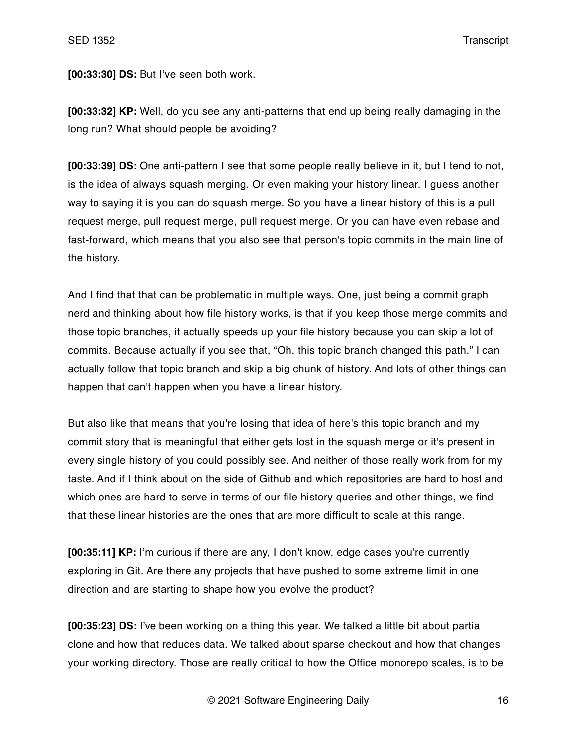**[00:33:30] DS:** But I've seen both work.

**[00:33:32] KP:** Well, do you see any anti-patterns that end up being really damaging in the long run? What should people be avoiding?

**[00:33:39] DS:** One anti-pattern I see that some people really believe in it, but I tend to not, is the idea of always squash merging. Or even making your history linear. I guess another way to saying it is you can do squash merge. So you have a linear history of this is a pull request merge, pull request merge, pull request merge. Or you can have even rebase and fast-forward, which means that you also see that person's topic commits in the main line of the history.

And I find that that can be problematic in multiple ways. One, just being a commit graph nerd and thinking about how file history works, is that if you keep those merge commits and those topic branches, it actually speeds up your file history because you can skip a lot of commits. Because actually if you see that, "Oh, this topic branch changed this path." I can actually follow that topic branch and skip a big chunk of history. And lots of other things can happen that can't happen when you have a linear history.

But also like that means that you're losing that idea of here's this topic branch and my commit story that is meaningful that either gets lost in the squash merge or it's present in every single history of you could possibly see. And neither of those really work from for my taste. And if I think about on the side of Github and which repositories are hard to host and which ones are hard to serve in terms of our file history queries and other things, we find that these linear histories are the ones that are more difficult to scale at this range.

**[00:35:11] KP:** I'm curious if there are any, I don't know, edge cases you're currently exploring in Git. Are there any projects that have pushed to some extreme limit in one direction and are starting to shape how you evolve the product?

**[00:35:23] DS:** I've been working on a thing this year. We talked a little bit about partial clone and how that reduces data. We talked about sparse checkout and how that changes your working directory. Those are really critical to how the Office monorepo scales, is to be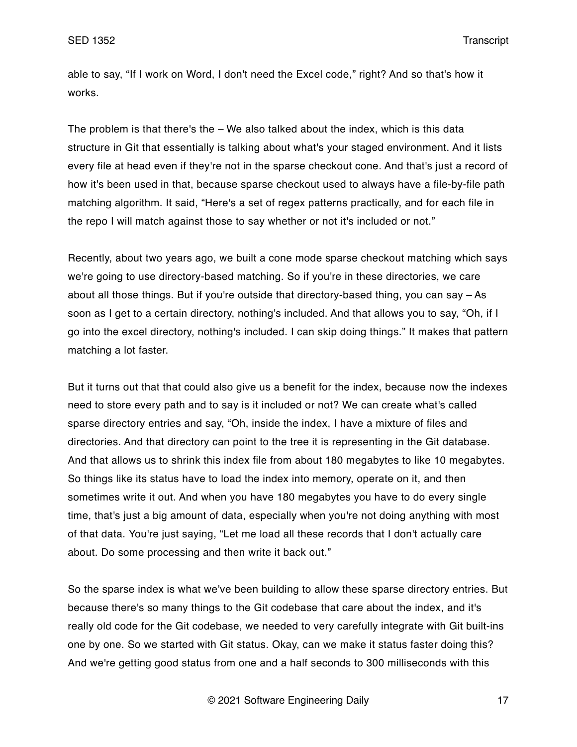able to say, "If I work on Word, I don't need the Excel code," right? And so that's how it works.

The problem is that there's the – We also talked about the index, which is this data structure in Git that essentially is talking about what's your staged environment. And it lists every file at head even if they're not in the sparse checkout cone. And that's just a record of how it's been used in that, because sparse checkout used to always have a file-by-file path matching algorithm. It said, "Here's a set of regex patterns practically, and for each file in the repo I will match against those to say whether or not it's included or not."

Recently, about two years ago, we built a cone mode sparse checkout matching which says we're going to use directory-based matching. So if you're in these directories, we care about all those things. But if you're outside that directory-based thing, you can say – As soon as I get to a certain directory, nothing's included. And that allows you to say, "Oh, if I go into the excel directory, nothing's included. I can skip doing things." It makes that pattern matching a lot faster.

But it turns out that that could also give us a benefit for the index, because now the indexes need to store every path and to say is it included or not? We can create what's called sparse directory entries and say, "Oh, inside the index, I have a mixture of files and directories. And that directory can point to the tree it is representing in the Git database. And that allows us to shrink this index file from about 180 megabytes to like 10 megabytes. So things like its status have to load the index into memory, operate on it, and then sometimes write it out. And when you have 180 megabytes you have to do every single time, that's just a big amount of data, especially when you're not doing anything with most of that data. You're just saying, "Let me load all these records that I don't actually care about. Do some processing and then write it back out."

So the sparse index is what we've been building to allow these sparse directory entries. But because there's so many things to the Git codebase that care about the index, and it's really old code for the Git codebase, we needed to very carefully integrate with Git built-ins one by one. So we started with Git status. Okay, can we make it status faster doing this? And we're getting good status from one and a half seconds to 300 milliseconds with this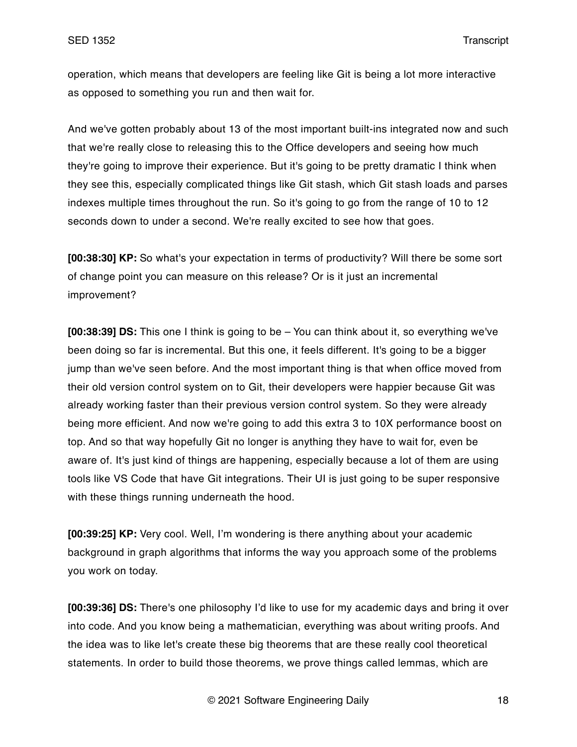operation, which means that developers are feeling like Git is being a lot more interactive as opposed to something you run and then wait for.

And we've gotten probably about 13 of the most important built-ins integrated now and such that we're really close to releasing this to the Office developers and seeing how much they're going to improve their experience. But it's going to be pretty dramatic I think when they see this, especially complicated things like Git stash, which Git stash loads and parses indexes multiple times throughout the run. So it's going to go from the range of 10 to 12 seconds down to under a second. We're really excited to see how that goes.

**[00:38:30] KP:** So what's your expectation in terms of productivity? Will there be some sort of change point you can measure on this release? Or is it just an incremental improvement?

**[00:38:39] DS:** This one I think is going to be – You can think about it, so everything we've been doing so far is incremental. But this one, it feels different. It's going to be a bigger jump than we've seen before. And the most important thing is that when office moved from their old version control system on to Git, their developers were happier because Git was already working faster than their previous version control system. So they were already being more efficient. And now we're going to add this extra 3 to 10X performance boost on top. And so that way hopefully Git no longer is anything they have to wait for, even be aware of. It's just kind of things are happening, especially because a lot of them are using tools like VS Code that have Git integrations. Their UI is just going to be super responsive with these things running underneath the hood.

**[00:39:25] KP:** Very cool. Well, I'm wondering is there anything about your academic background in graph algorithms that informs the way you approach some of the problems you work on today.

**[00:39:36] DS:** There's one philosophy I'd like to use for my academic days and bring it over into code. And you know being a mathematician, everything was about writing proofs. And the idea was to like let's create these big theorems that are these really cool theoretical statements. In order to build those theorems, we prove things called lemmas, which are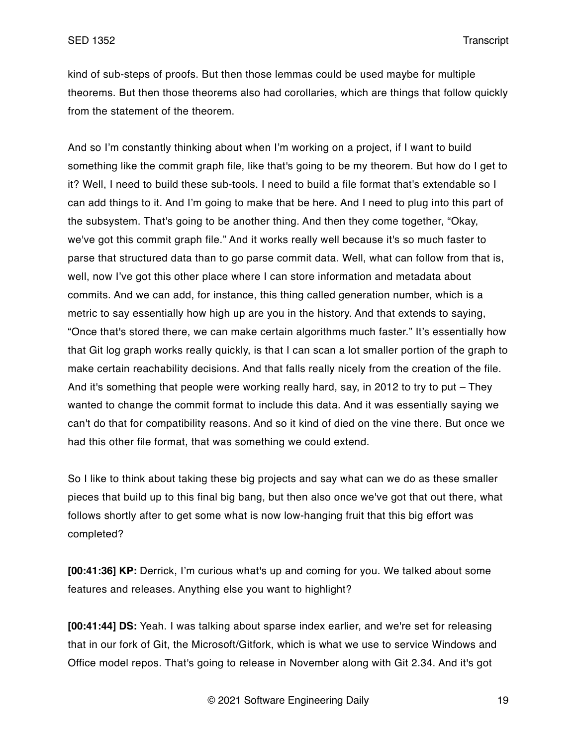kind of sub-steps of proofs. But then those lemmas could be used maybe for multiple theorems. But then those theorems also had corollaries, which are things that follow quickly from the statement of the theorem.

And so I'm constantly thinking about when I'm working on a project, if I want to build something like the commit graph file, like that's going to be my theorem. But how do I get to it? Well, I need to build these sub-tools. I need to build a file format that's extendable so I can add things to it. And I'm going to make that be here. And I need to plug into this part of the subsystem. That's going to be another thing. And then they come together, "Okay, we've got this commit graph file." And it works really well because it's so much faster to parse that structured data than to go parse commit data. Well, what can follow from that is, well, now I've got this other place where I can store information and metadata about commits. And we can add, for instance, this thing called generation number, which is a metric to say essentially how high up are you in the history. And that extends to saying, "Once that's stored there, we can make certain algorithms much faster." It's essentially how that Git log graph works really quickly, is that I can scan a lot smaller portion of the graph to make certain reachability decisions. And that falls really nicely from the creation of the file. And it's something that people were working really hard, say, in 2012 to try to put – They wanted to change the commit format to include this data. And it was essentially saying we can't do that for compatibility reasons. And so it kind of died on the vine there. But once we had this other file format, that was something we could extend.

So I like to think about taking these big projects and say what can we do as these smaller pieces that build up to this final big bang, but then also once we've got that out there, what follows shortly after to get some what is now low-hanging fruit that this big effort was completed?

**[00:41:36] KP:** Derrick, I'm curious what's up and coming for you. We talked about some features and releases. Anything else you want to highlight?

**[00:41:44] DS:** Yeah. I was talking about sparse index earlier, and we're set for releasing that in our fork of Git, the Microsoft/Gitfork, which is what we use to service Windows and Office model repos. That's going to release in November along with Git 2.34. And it's got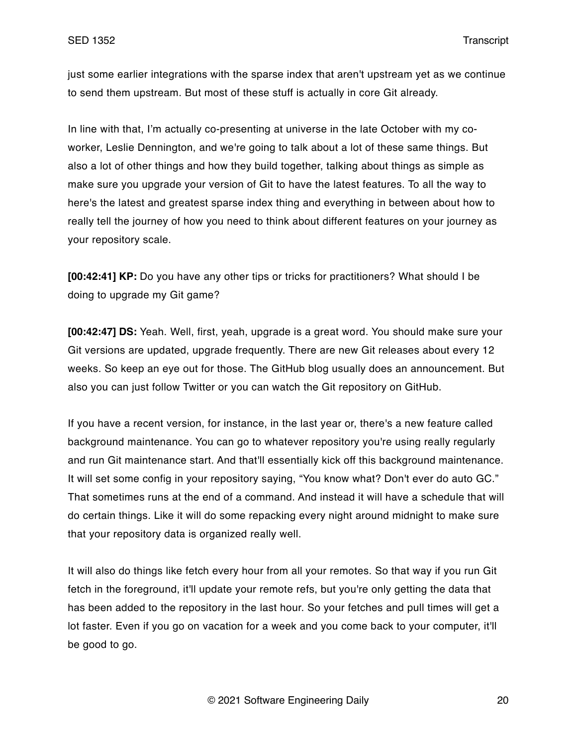just some earlier integrations with the sparse index that aren't upstream yet as we continue to send them upstream. But most of these stuff is actually in core Git already.

In line with that, I'm actually co-presenting at universe in the late October with my coworker, Leslie Dennington, and we're going to talk about a lot of these same things. But also a lot of other things and how they build together, talking about things as simple as make sure you upgrade your version of Git to have the latest features. To all the way to here's the latest and greatest sparse index thing and everything in between about how to really tell the journey of how you need to think about different features on your journey as your repository scale.

**[00:42:41] KP:** Do you have any other tips or tricks for practitioners? What should I be doing to upgrade my Git game?

**[00:42:47] DS:** Yeah. Well, first, yeah, upgrade is a great word. You should make sure your Git versions are updated, upgrade frequently. There are new Git releases about every 12 weeks. So keep an eye out for those. The GitHub blog usually does an announcement. But also you can just follow Twitter or you can watch the Git repository on GitHub.

If you have a recent version, for instance, in the last year or, there's a new feature called background maintenance. You can go to whatever repository you're using really regularly and run Git maintenance start. And that'll essentially kick off this background maintenance. It will set some config in your repository saying, "You know what? Don't ever do auto GC." That sometimes runs at the end of a command. And instead it will have a schedule that will do certain things. Like it will do some repacking every night around midnight to make sure that your repository data is organized really well.

It will also do things like fetch every hour from all your remotes. So that way if you run Git fetch in the foreground, it'll update your remote refs, but you're only getting the data that has been added to the repository in the last hour. So your fetches and pull times will get a lot faster. Even if you go on vacation for a week and you come back to your computer, it'll be good to go.